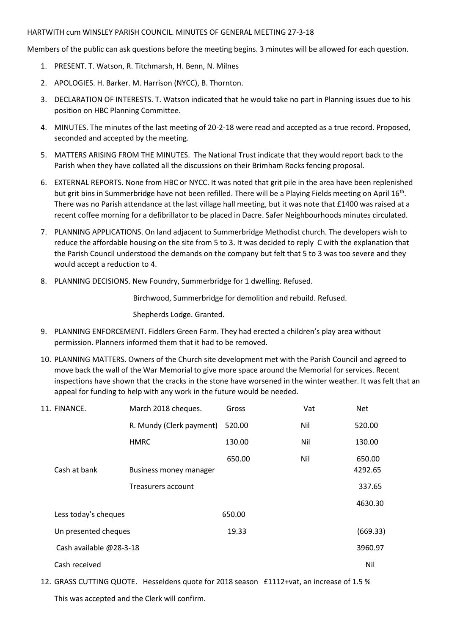## HARTWITH cum WINSLEY PARISH COUNCIL. MINUTES OF GENERAL MEETING 27-3-18

Members of the public can ask questions before the meeting begins. 3 minutes will be allowed for each question.

- 1. PRESENT. T. Watson, R. Titchmarsh, H. Benn, N. Milnes
- 2. APOLOGIES. H. Barker. M. Harrison (NYCC), B. Thornton.
- 3. DECLARATION OF INTERESTS. T. Watson indicated that he would take no part in Planning issues due to his position on HBC Planning Committee.
- 4. MINUTES. The minutes of the last meeting of 20-2-18 were read and accepted as a true record. Proposed, seconded and accepted by the meeting.
- 5. MATTERS ARISING FROM THE MINUTES. The National Trust indicate that they would report back to the Parish when they have collated all the discussions on their Brimham Rocks fencing proposal.
- 6. EXTERNAL REPORTS. None from HBC or NYCC. It was noted that grit pile in the area have been replenished but grit bins in Summerbridge have not been refilled. There will be a Playing Fields meeting on April 16<sup>th</sup>. There was no Parish attendance at the last village hall meeting, but it was note that £1400 was raised at a recent coffee morning for a defibrillator to be placed in Dacre. Safer Neighbourhoods minutes circulated.
- 7. PLANNING APPLICATIONS. On land adjacent to Summerbridge Methodist church. The developers wish to reduce the affordable housing on the site from 5 to 3. It was decided to reply C with the explanation that the Parish Council understood the demands on the company but felt that 5 to 3 was too severe and they would accept a reduction to 4.
- 8. PLANNING DECISIONS. New Foundry, Summerbridge for 1 dwelling. Refused.

Birchwood, Summerbridge for demolition and rebuild. Refused.

Shepherds Lodge. Granted.

- 9. PLANNING ENFORCEMENT. Fiddlers Green Farm. They had erected a children's play area without permission. Planners informed them that it had to be removed.
- 10. PLANNING MATTERS. Owners of the Church site development met with the Parish Council and agreed to move back the wall of the War Memorial to give more space around the Memorial for services. Recent inspections have shown that the cracks in the stone have worsened in the winter weather. It was felt that an appeal for funding to help with any work in the future would be needed.

| 11. FINANCE.            | March 2018 cheques.      | Gross  | Vat | <b>Net</b>        |
|-------------------------|--------------------------|--------|-----|-------------------|
|                         | R. Mundy (Clerk payment) | 520.00 | Nil | 520.00            |
|                         | <b>HMRC</b>              | 130.00 | Nil | 130.00            |
| Cash at bank            | Business money manager   | 650.00 | Nil | 650.00<br>4292.65 |
|                         | Treasurers account       |        |     | 337.65            |
|                         |                          |        |     | 4630.30           |
| Less today's cheques    |                          | 650.00 |     |                   |
| Un presented cheques    |                          | 19.33  |     | (669.33)          |
| Cash available @28-3-18 |                          |        |     | 3960.97           |
| Cash received           |                          |        |     | Nil               |

12. GRASS CUTTING QUOTE. Hesseldens quote for 2018 season £1112+vat, an increase of 1.5 % This was accepted and the Clerk will confirm.